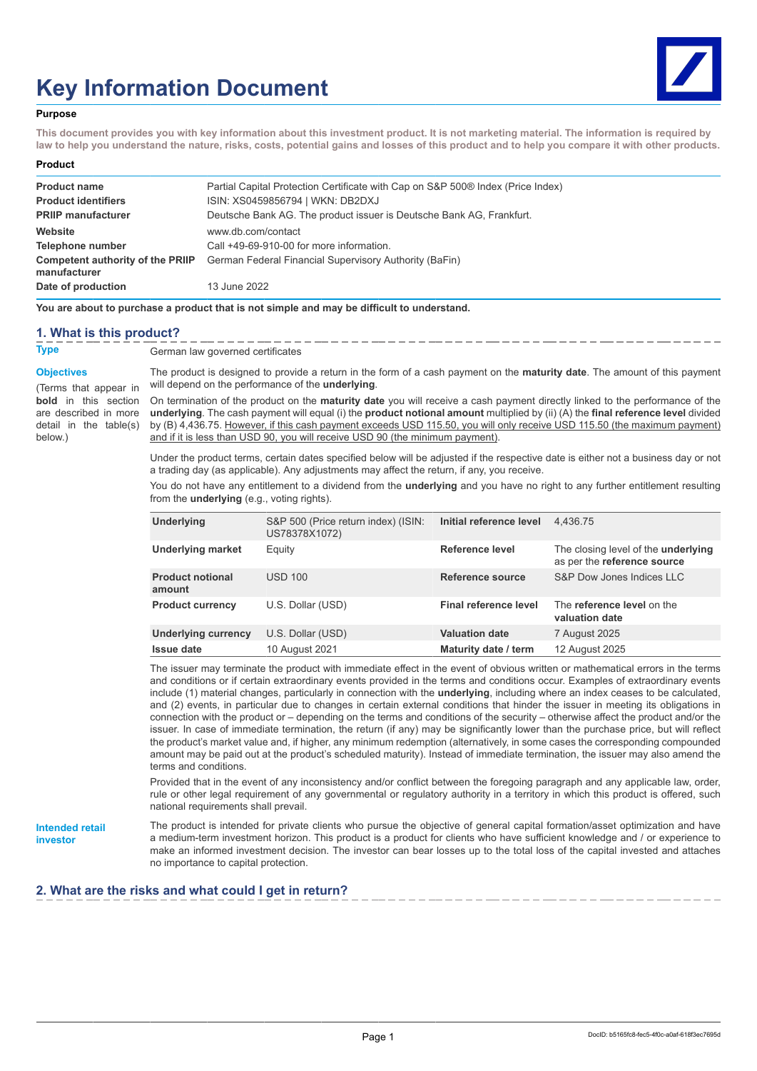# **Key Information Document**



#### **Purpose**

**This document provides you with key information about this investment product. It is not marketing material. The information is required by law to help you understand the nature, risks, costs, potential gains and losses of this product and to help you compare it with other products.**

#### **Product**

| <b>Product name</b>                                     | Partial Capital Protection Certificate with Cap on S&P 500® Index (Price Index) |
|---------------------------------------------------------|---------------------------------------------------------------------------------|
| <b>Product identifiers</b>                              | ISIN: XS0459856794   WKN: DB2DXJ                                                |
| <b>PRIIP manufacturer</b>                               | Deutsche Bank AG. The product issuer is Deutsche Bank AG. Frankfurt.            |
| Website                                                 | www.db.com/contact                                                              |
| Telephone number                                        | Call +49-69-910-00 for more information.                                        |
| <b>Competent authority of the PRIIP</b><br>manufacturer | German Federal Financial Supervisory Authority (BaFin)                          |
| Date of production                                      | 13 June 2022                                                                    |

**You are about to purchase a product that is not simple and may be difficult to understand.**

### **1. What is this product?**

**Type** German law governed certificates

**Objectives**

(Terms that appear in **bold** in this section are described in more detail in the table(s) below.)

The product is designed to provide a return in the form of a cash payment on the **maturity date**. The amount of this payment will depend on the performance of the **underlying**.

On termination of the product on the **maturity date** you will receive a cash payment directly linked to the performance of the **underlying**. The cash payment will equal (i) the **product notional amount** multiplied by (ii) (A) the **final reference level** divided by (B) 4,436.75. However, if this cash payment exceeds USD 115.50, you will only receive USD 115.50 (the maximum payment) and if it is less than USD 90, you will receive USD 90 (the minimum payment).

Under the product terms, certain dates specified below will be adjusted if the respective date is either not a business day or not a trading day (as applicable). Any adjustments may affect the return, if any, you receive.

You do not have any entitlement to a dividend from the **underlying** and you have no right to any further entitlement resulting from the **underlying** (e.g., voting rights).

| Underlying                        | S&P 500 (Price return index) (ISIN:<br>US78378X1072) | Initial reference level | 4.436.75                                                           |
|-----------------------------------|------------------------------------------------------|-------------------------|--------------------------------------------------------------------|
| <b>Underlying market</b>          | Equity                                               | Reference level         | The closing level of the underlying<br>as per the reference source |
| <b>Product notional</b><br>amount | <b>USD 100</b>                                       | Reference source        | S&P Dow Jones Indices LLC                                          |
| <b>Product currency</b>           | U.S. Dollar (USD)                                    | Final reference level   | The reference level on the<br>valuation date                       |
| <b>Underlying currency</b>        | U.S. Dollar (USD)                                    | <b>Valuation date</b>   | 7 August 2025                                                      |
| <b>Issue date</b>                 | 10 August 2021                                       | Maturity date / term    | 12 August 2025                                                     |

The issuer may terminate the product with immediate effect in the event of obvious written or mathematical errors in the terms and conditions or if certain extraordinary events provided in the terms and conditions occur. Examples of extraordinary events include (1) material changes, particularly in connection with the **underlying**, including where an index ceases to be calculated, and (2) events, in particular due to changes in certain external conditions that hinder the issuer in meeting its obligations in connection with the product or – depending on the terms and conditions of the security – otherwise affect the product and/or the issuer. In case of immediate termination, the return (if any) may be significantly lower than the purchase price, but will reflect the product's market value and, if higher, any minimum redemption (alternatively, in some cases the corresponding compounded amount may be paid out at the product's scheduled maturity). Instead of immediate termination, the issuer may also amend the terms and conditions.

Provided that in the event of any inconsistency and/or conflict between the foregoing paragraph and any applicable law, order, rule or other legal requirement of any governmental or regulatory authority in a territory in which this product is offered, such national requirements shall prevail.

**Intended retail investor**

The product is intended for private clients who pursue the objective of general capital formation/asset optimization and have a medium-term investment horizon. This product is a product for clients who have sufficient knowledge and / or experience to make an informed investment decision. The investor can bear losses up to the total loss of the capital invested and attaches no importance to capital protection.

## **2. What are the risks and what could I get in return?**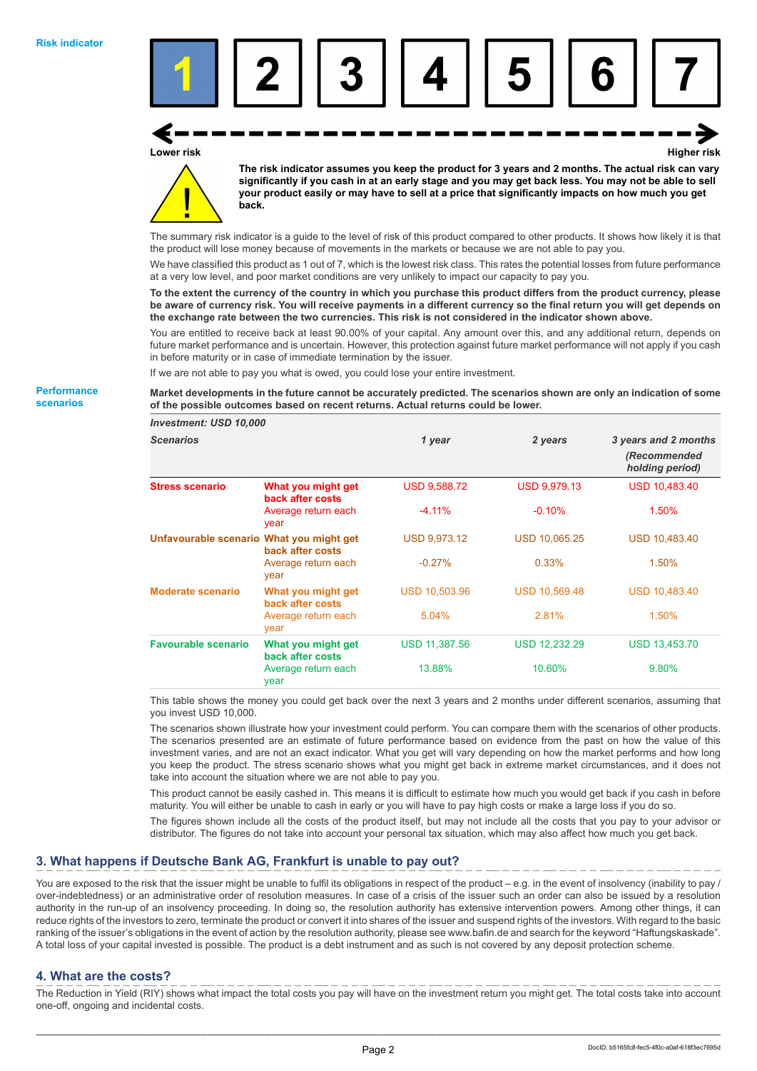





**The risk indicator assumes you keep the product for 3 years and 2 months. The actual risk can vary significantly if you cash in at an early stage and you may get back less. You may not be able to sell your product easily or may have to sell at a price that significantly impacts on how much you get back.**

The summary risk indicator is a guide to the level of risk of this product compared to other products. It shows how likely it is that the product will lose money because of movements in the markets or because we are not able to pay you.

We have classified this product as 1 out of 7, which is the lowest risk class. This rates the potential losses from future performance at a very low level, and poor market conditions are very unlikely to impact our capacity to pay you.

**To the extent the currency of the country in which you purchase this product differs from the product currency, please be aware of currency risk. You will receive payments in a different currency so the final return you will get depends on the exchange rate between the two currencies. This risk is not considered in the indicator shown above.**

You are entitled to receive back at least 90.00% of your capital. Any amount over this, and any additional return, depends on future market performance and is uncertain. However, this protection against future market performance will not apply if you cash in before maturity or in case of immediate termination by the issuer.

If we are not able to pay you what is owed, you could lose your entire investment.

**Market developments in the future cannot be accurately predicted. The scenarios shown are only an indication of some of the possible outcomes based on recent returns. Actual returns could be lower.**

| <b>Investment: USD 10,000</b>            |                                        |                      |                      |                                                         |
|------------------------------------------|----------------------------------------|----------------------|----------------------|---------------------------------------------------------|
| <b>Scenarios</b>                         |                                        | 1 year               | 2 years              | 3 years and 2 months<br>(Recommended<br>holding period) |
| <b>Stress scenario</b>                   | What you might get<br>back after costs | <b>USD 9,588.72</b>  | <b>USD 9,979.13</b>  | <b>USD 10,483.40</b>                                    |
|                                          | Average return each<br>year            | $-4.11%$             | $-0.10%$             | 1.50%                                                   |
| Unfavourable scenario What you might get | back after costs                       | <b>USD 9,973.12</b>  | <b>USD 10,065.25</b> | <b>USD 10,483.40</b>                                    |
|                                          | Average return each<br>year            | $-0.27%$             | 0.33%                | 1.50%                                                   |
| <b>Moderate scenario</b>                 | What you might get<br>back after costs | <b>USD 10,503.96</b> | <b>USD 10,569.48</b> | <b>USD 10,483.40</b>                                    |
|                                          | Average return each<br>year            | 5.04%                | 2.81%                | 1.50%                                                   |
| <b>Favourable scenario</b>               | What you might get<br>back after costs | <b>USD 11,387.56</b> | <b>USD 12,232.29</b> | <b>USD 13,453.70</b>                                    |
|                                          | Average return each<br>year            | 13.88%               | 10.60%               | 9.80%                                                   |

This table shows the money you could get back over the next 3 years and 2 months under different scenarios, assuming that you invest USD 10,000.

The scenarios shown illustrate how your investment could perform. You can compare them with the scenarios of other products. The scenarios presented are an estimate of future performance based on evidence from the past on how the value of this investment varies, and are not an exact indicator. What you get will vary depending on how the market performs and how long you keep the product. The stress scenario shows what you might get back in extreme market circumstances, and it does not take into account the situation where we are not able to pay you.

This product cannot be easily cashed in. This means it is difficult to estimate how much you would get back if you cash in before maturity. You will either be unable to cash in early or you will have to pay high costs or make a large loss if you do so.

The figures shown include all the costs of the product itself, but may not include all the costs that you pay to your advisor or distributor. The figures do not take into account your personal tax situation, which may also affect how much you get back.

# **3. What happens if Deutsche Bank AG, Frankfurt is unable to pay out?**

You are exposed to the risk that the issuer might be unable to fulfil its obligations in respect of the product – e.g. in the event of insolvency (inability to pay / over-indebtedness) or an administrative order of resolution measures. In case of a crisis of the issuer such an order can also be issued by a resolution authority in the run-up of an insolvency proceeding. In doing so, the resolution authority has extensive intervention powers. Among other things, it can reduce rights of the investors to zero, terminate the product or convert it into shares of the issuer and suspend rights of the investors. With regard to the basic ranking of the issuer's obligations in the event of action by the resolution authority, please see www.bafin.de and search for the keyword "Haftungskaskade". A total loss of your capital invested is possible. The product is a debt instrument and as such is not covered by any deposit protection scheme.

### **4. What are the costs?**

The Reduction in Yield (RIY) shows what impact the total costs you pay will have on the investment return you might get. The total costs take into account one-off, ongoing and incidental costs.

**Performance scenarios**